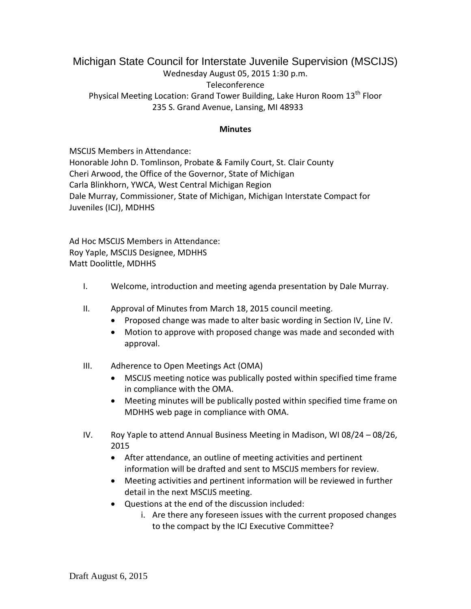## Michigan State Council for Interstate Juvenile Supervision (MSCIJS) Wednesday August 05, 2015 1:30 p.m. Teleconference Physical Meeting Location: Grand Tower Building, Lake Huron Room 13<sup>th</sup> Floor 235 S. Grand Avenue, Lansing, MI 48933

## **Minutes**

MSCIJS Members in Attendance: Honorable John D. Tomlinson, Probate & Family Court, St. Clair County Cheri Arwood, the Office of the Governor, State of Michigan Carla Blinkhorn, YWCA, West Central Michigan Region Dale Murray, Commissioner, State of Michigan, Michigan Interstate Compact for Juveniles (ICJ), MDHHS

Ad Hoc MSCIJS Members in Attendance: Roy Yaple, MSCIJS Designee, MDHHS Matt Doolittle, MDHHS

- I. Welcome, introduction and meeting agenda presentation by Dale Murray.
- II. Approval of Minutes from March 18, 2015 council meeting.
	- Proposed change was made to alter basic wording in Section IV, Line IV.
	- Motion to approve with proposed change was made and seconded with approval.
- III. Adherence to Open Meetings Act (OMA)
	- MSCIJS meeting notice was publically posted within specified time frame in compliance with the OMA.
	- Meeting minutes will be publically posted within specified time frame on MDHHS web page in compliance with OMA.
- IV. Roy Yaple to attend Annual Business Meeting in Madison, WI 08/24 08/26, 2015
	- After attendance, an outline of meeting activities and pertinent information will be drafted and sent to MSCIJS members for review.
	- Meeting activities and pertinent information will be reviewed in further detail in the next MSCIJS meeting.
	- Questions at the end of the discussion included:
		- i. Are there any foreseen issues with the current proposed changes to the compact by the ICJ Executive Committee?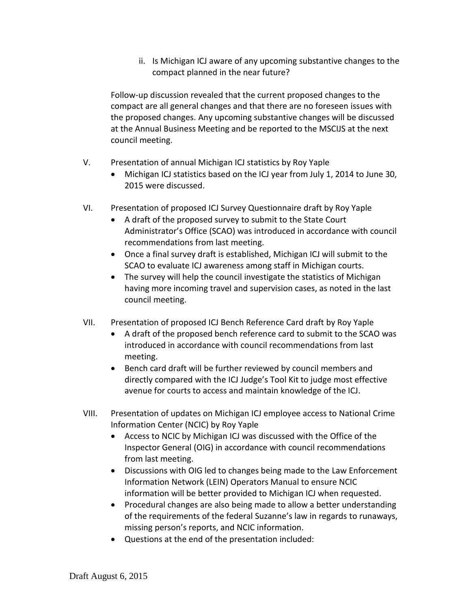ii. Is Michigan ICJ aware of any upcoming substantive changes to the compact planned in the near future?

Follow-up discussion revealed that the current proposed changes to the compact are all general changes and that there are no foreseen issues with the proposed changes. Any upcoming substantive changes will be discussed at the Annual Business Meeting and be reported to the MSCIJS at the next council meeting.

- V. Presentation of annual Michigan ICJ statistics by Roy Yaple
	- Michigan ICJ statistics based on the ICJ year from July 1, 2014 to June 30, 2015 were discussed.
- VI. Presentation of proposed ICJ Survey Questionnaire draft by Roy Yaple
	- A draft of the proposed survey to submit to the State Court Administrator's Office (SCAO) was introduced in accordance with council recommendations from last meeting.
	- Once a final survey draft is established, Michigan ICJ will submit to the SCAO to evaluate ICJ awareness among staff in Michigan courts.
	- The survey will help the council investigate the statistics of Michigan having more incoming travel and supervision cases, as noted in the last council meeting.
- VII. Presentation of proposed ICJ Bench Reference Card draft by Roy Yaple
	- A draft of the proposed bench reference card to submit to the SCAO was introduced in accordance with council recommendations from last meeting.
	- Bench card draft will be further reviewed by council members and directly compared with the ICJ Judge's Tool Kit to judge most effective avenue for courts to access and maintain knowledge of the ICJ.
- VIII. Presentation of updates on Michigan ICJ employee access to National Crime Information Center (NCIC) by Roy Yaple
	- Access to NCIC by Michigan ICJ was discussed with the Office of the Inspector General (OIG) in accordance with council recommendations from last meeting.
	- Discussions with OIG led to changes being made to the Law Enforcement Information Network (LEIN) Operators Manual to ensure NCIC information will be better provided to Michigan ICJ when requested.
	- Procedural changes are also being made to allow a better understanding of the requirements of the federal Suzanne's law in regards to runaways, missing person's reports, and NCIC information.
	- Questions at the end of the presentation included: